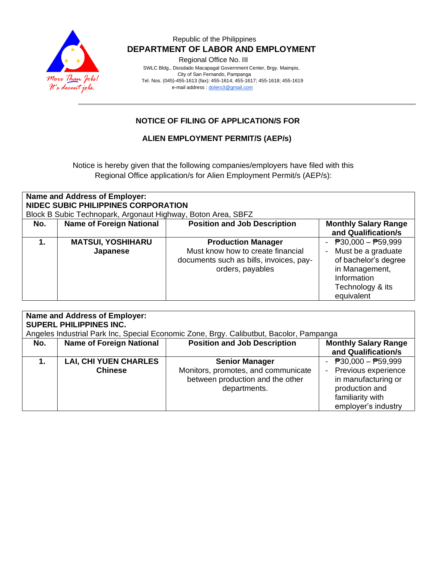

### Republic of the Philippines  **DEPARTMENT OF LABOR AND EMPLOYMENT**

Regional Office No. III

 SWLC Bldg., Diosdado Macapagal Government Center, Brgy. Maimpis, City of San Fernando, Pampanga Tel. Nos. (045)-455-1613 (fax): 455-1614; 455-1617; 455-1618; 455-1619 e-mail address [: dolero3@gmail.com](mailto:dolero3@gmail.com)

## **NOTICE OF FILING OF APPLICATION/S FOR**

### **ALIEN EMPLOYMENT PERMIT/S (AEP/s)**

Notice is hereby given that the following companies/employers have filed with this Regional Office application/s for Alien Employment Permit/s (AEP/s):

| Name and Address of Employer:<br>NIDEC SUBIC PHILIPPINES CORPORATION<br>Block B Subic Technopark, Argonaut Highway, Boton Area, SBFZ |                                 |                                         |                             |  |
|--------------------------------------------------------------------------------------------------------------------------------------|---------------------------------|-----------------------------------------|-----------------------------|--|
| No.                                                                                                                                  | <b>Name of Foreign National</b> | <b>Position and Job Description</b>     | <b>Monthly Salary Range</b> |  |
|                                                                                                                                      |                                 |                                         | and Qualification/s         |  |
|                                                                                                                                      | <b>MATSUI, YOSHIHARU</b>        | <b>Production Manager</b>               | $P30,000 - P59,999$         |  |
|                                                                                                                                      | Japanese                        | Must know how to create financial       | Must be a graduate          |  |
|                                                                                                                                      |                                 | documents such as bills, invoices, pay- | of bachelor's degree        |  |
|                                                                                                                                      |                                 | orders, payables                        | in Management,              |  |
|                                                                                                                                      |                                 |                                         | Information                 |  |
|                                                                                                                                      |                                 |                                         | Technology & its            |  |
|                                                                                                                                      |                                 |                                         | equivalent                  |  |

| Name and Address of Employer:<br><b>SUPERL PHILIPPINES INC.</b> |                                 |                                                                                         |                                                    |  |
|-----------------------------------------------------------------|---------------------------------|-----------------------------------------------------------------------------------------|----------------------------------------------------|--|
|                                                                 |                                 | Angeles Industrial Park Inc, Special Economic Zone, Brgy. Calibutbut, Bacolor, Pampanga |                                                    |  |
| No.                                                             | <b>Name of Foreign National</b> | <b>Position and Job Description</b>                                                     | <b>Monthly Salary Range</b><br>and Qualification/s |  |
|                                                                 | <b>LAI, CHI YUEN CHARLES</b>    | <b>Senior Manager</b>                                                                   | $\overline{P}30,000 - \overline{P}59,999$          |  |
|                                                                 | <b>Chinese</b>                  | Monitors, promotes, and communicate                                                     | - Previous experience                              |  |
|                                                                 |                                 | between production and the other                                                        | in manufacturing or                                |  |
|                                                                 |                                 | departments.                                                                            | production and                                     |  |
|                                                                 |                                 |                                                                                         | familiarity with                                   |  |
|                                                                 |                                 |                                                                                         | employer's industry                                |  |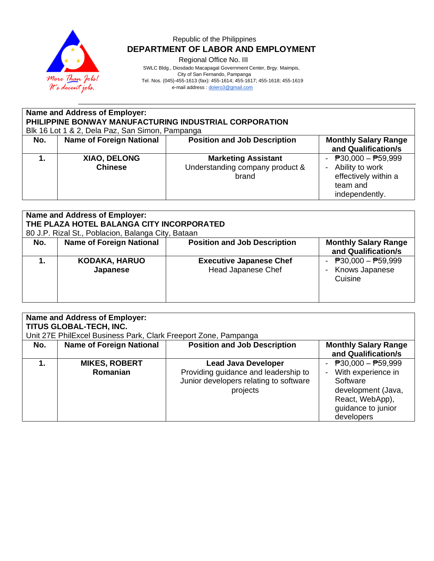

# Republic of the Philippines  **DEPARTMENT OF LABOR AND EMPLOYMENT**

Regional Office No. III

 SWLC Bldg., Diosdado Macapagal Government Center, Brgy. Maimpis, City of San Fernando, Pampanga Tel. Nos. (045)-455-1613 (fax): 455-1614; 455-1617; 455-1618; 455-1619

e-mail address [: dolero3@gmail.com](mailto:dolero3@gmail.com)

| Name and Address of Employer:<br>PHILIPPINE BONWAY MANUFACTURING INDUSTRIAL CORPORATION<br>Blk 16 Lot 1 & 2, Dela Paz, San Simon, Pampanga |                                 |                                                                        |                                                                                                  |  |
|--------------------------------------------------------------------------------------------------------------------------------------------|---------------------------------|------------------------------------------------------------------------|--------------------------------------------------------------------------------------------------|--|
| No.                                                                                                                                        | <b>Name of Foreign National</b> | <b>Position and Job Description</b>                                    | <b>Monthly Salary Range</b><br>and Qualification/s                                               |  |
|                                                                                                                                            | XIAO, DELONG<br><b>Chinese</b>  | <b>Marketing Assistant</b><br>Understanding company product &<br>brand | - $P30,000 - P59,999$<br>- Ability to work<br>effectively within a<br>team and<br>independently. |  |

| Name and Address of Employer:<br>THE PLAZA HOTEL BALANGA CITY INCORPORATED<br>80 J.P. Rizal St., Poblacion, Balanga City, Bataan |                                  |                                                             |                                                                        |  |
|----------------------------------------------------------------------------------------------------------------------------------|----------------------------------|-------------------------------------------------------------|------------------------------------------------------------------------|--|
| No.                                                                                                                              | <b>Name of Foreign National</b>  | <b>Position and Job Description</b>                         | <b>Monthly Salary Range</b><br>and Qualification/s                     |  |
|                                                                                                                                  | <b>KODAKA, HARUO</b><br>Japanese | <b>Executive Japanese Chef</b><br><b>Head Japanese Chef</b> | $\overline{P}30,000 - \overline{P}59,999$<br>Knows Japanese<br>Cuisine |  |

| <b>Name and Address of Employer:</b><br>TITUS GLOBAL-TECH, INC.<br>Unit 27E PhilExcel Business Park, Clark Freeport Zone, Pampanga |                                  |                                                                                                                          |                                                                                                                                      |  |
|------------------------------------------------------------------------------------------------------------------------------------|----------------------------------|--------------------------------------------------------------------------------------------------------------------------|--------------------------------------------------------------------------------------------------------------------------------------|--|
| No.                                                                                                                                | <b>Name of Foreign National</b>  | <b>Position and Job Description</b>                                                                                      | <b>Monthly Salary Range</b><br>and Qualification/s                                                                                   |  |
|                                                                                                                                    | <b>MIKES, ROBERT</b><br>Romanian | <b>Lead Java Developer</b><br>Providing guidance and leadership to<br>Junior developers relating to software<br>projects | - $P30,000 - P59,999$<br>With experience in<br>Software<br>development (Java,<br>React, WebApp),<br>guidance to junior<br>developers |  |